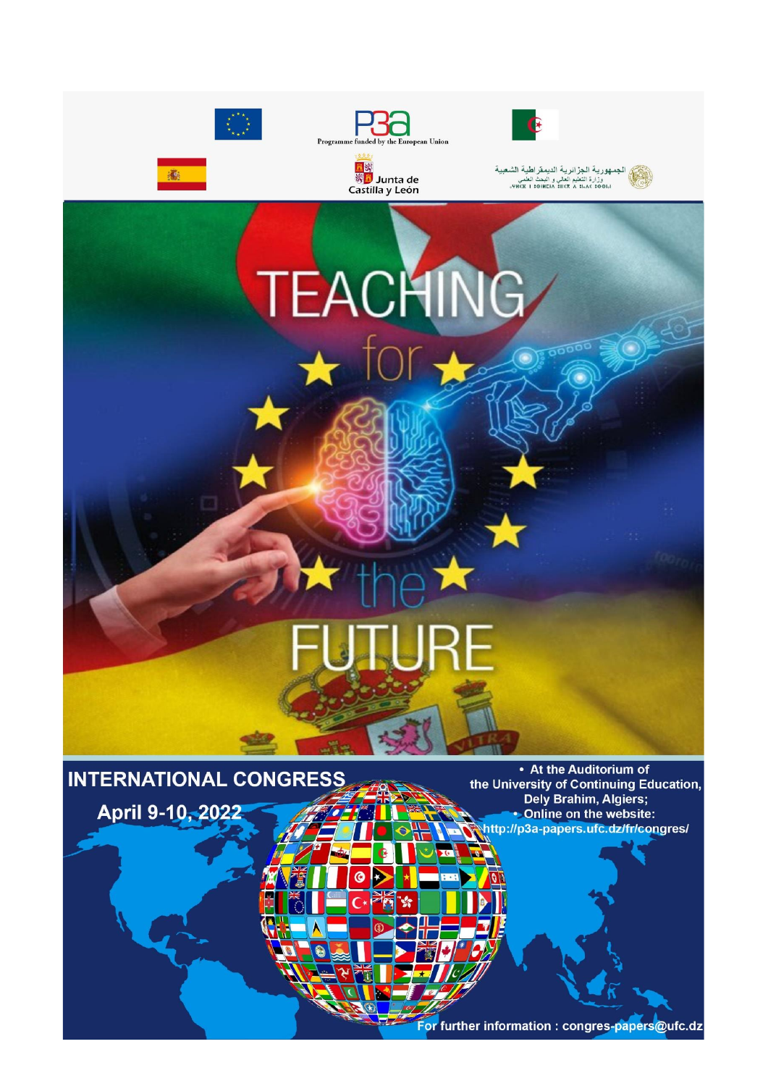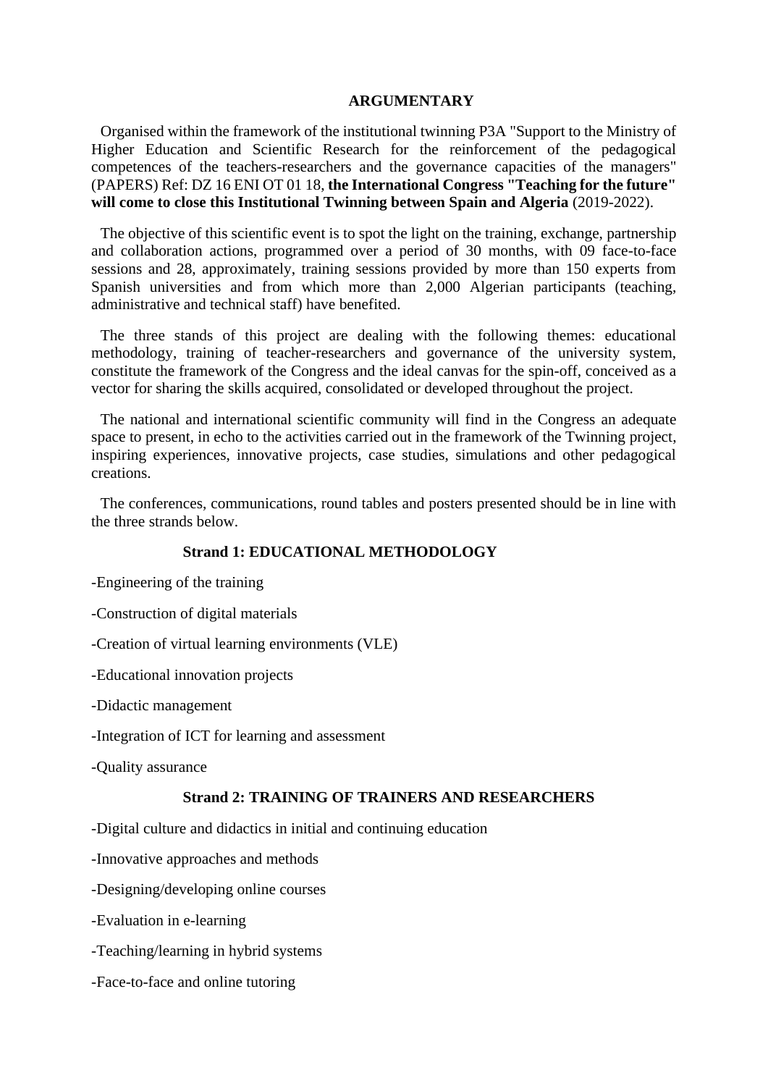#### **ARGUMENTARY**

Organised within the framework of the institutional twinning P3A "Support to the Ministry of Higher Education and Scientific Research for the reinforcement of the pedagogical competences of the teachers-researchers and the governance capacities of the managers" (PAPERS) Ref: DZ 16 ENI OT 01 18, **the International Congress "Teaching for the future" will come to close this Institutional Twinning between Spain and Algeria** (2019-2022).

The objective of this scientific event is to spot the light on the training, exchange, partnership and collaboration actions, programmed over a period of 30 months, with 09 face-to-face sessions and 28, approximately, training sessions provided by more than 150 experts from Spanish universities and from which more than 2,000 Algerian participants (teaching, administrative and technical staff) have benefited.

The three stands of this project are dealing with the following themes: educational methodology, training of teacher-researchers and governance of the university system, constitute the framework of the Congress and the ideal canvas for the spin-off, conceived as a vector for sharing the skills acquired, consolidated or developed throughout the project.

The national and international scientific community will find in the Congress an adequate space to present, in echo to the activities carried out in the framework of the Twinning project, inspiring experiences, innovative projects, case studies, simulations and other pedagogical creations.

The conferences, communications, round tables and posters presented should be in line with the three strands below.

### **Strand 1: EDUCATIONAL METHODOLOGY**

-Engineering of the training

-Construction of digital materials

-Creation of virtual learning environments (VLE)

-Educational innovation projects

-Didactic management

-Integration of ICT for learning and assessment

-Quality assurance

#### **Strand 2: TRAINING OF TRAINERS AND RESEARCHERS**

-Digital culture and didactics in initial and continuing education

-Innovative approaches and methods

-Designing/developing online courses

-Evaluation in e-learning

-Teaching/learning in hybrid systems

-Face-to-face and online tutoring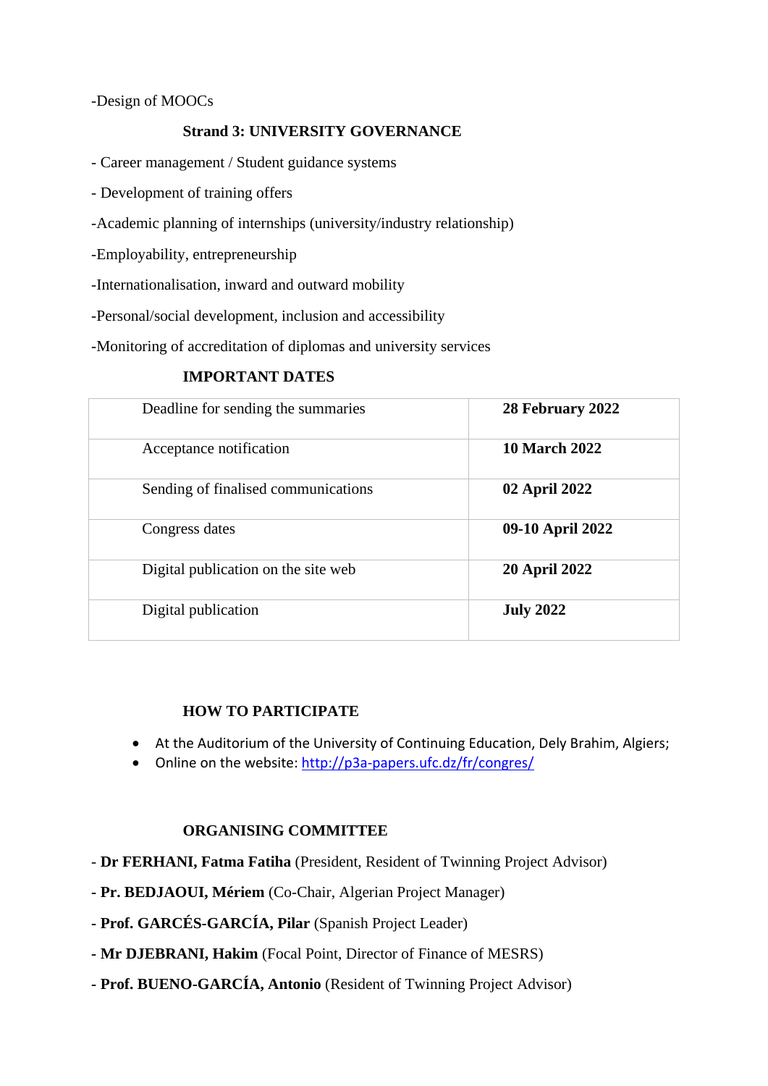-Design of MOOCs

# **Strand 3: UNIVERSITY GOVERNANCE**

- Career management / Student guidance systems

- Development of training offers
- -Academic planning of internships (university/industry relationship)
- -Employability, entrepreneurship
- -Internationalisation, inward and outward mobility
- -Personal/social development, inclusion and accessibility
- -Monitoring of accreditation of diplomas and university services

### **IMPORTANT DATES**

| Deadline for sending the summaries  | 28 February 2022     |
|-------------------------------------|----------------------|
| Acceptance notification             | <b>10 March 2022</b> |
| Sending of finalised communications | 02 April 2022        |
| Congress dates                      | 09-10 April 2022     |
| Digital publication on the site web | <b>20 April 2022</b> |
| Digital publication                 | <b>July 2022</b>     |

### **HOW TO PARTICIPATE**

- At the Auditorium of the University of Continuing Education, Dely Brahim, Algiers;
- Online on the website:<http://p3a-papers.ufc.dz/fr/congres/>

### **ORGANISING COMMITTEE**

- **Dr FERHANI, Fatma Fatiha** (President, Resident of Twinning Project Advisor)
- **- Pr. BEDJAOUI, Mériem** (Co-Chair, Algerian Project Manager)
- **- Prof. GARCÉS-GARCÍA, Pilar** (Spanish Project Leader)
- **- Mr DJEBRANI, Hakim** (Focal Point, Director of Finance of MESRS)
- **- Prof. BUENO-GARCÍA, Antonio** (Resident of Twinning Project Advisor)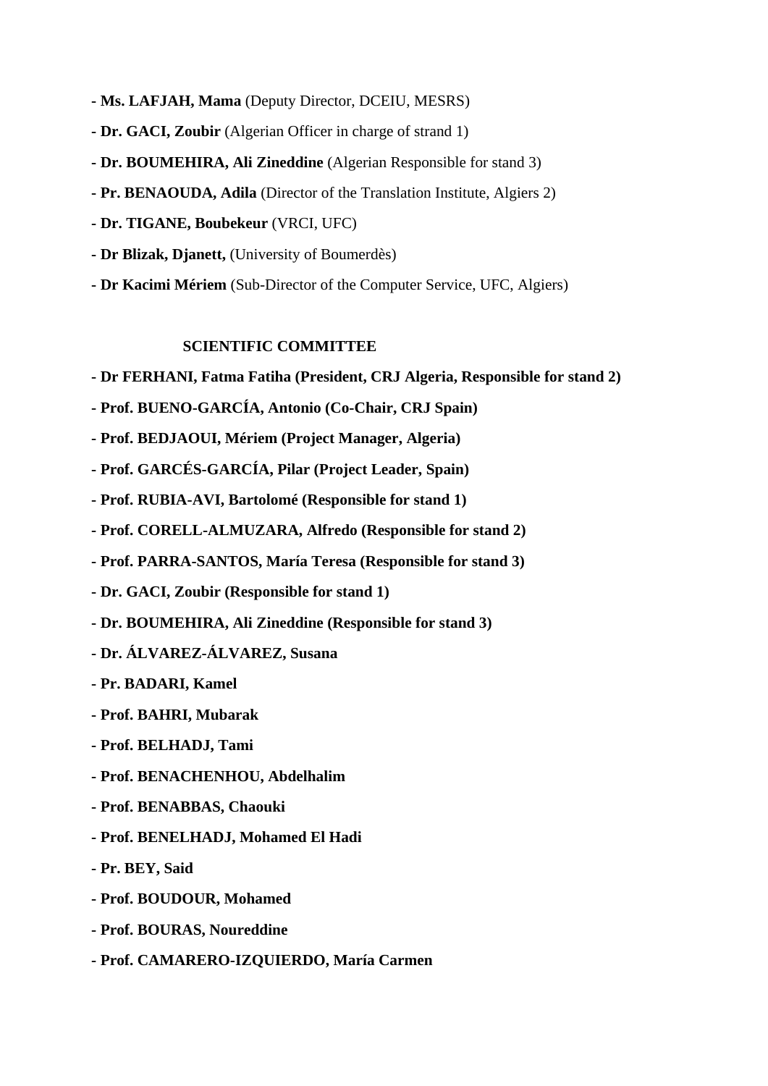- **- Ms. LAFJAH, Mama** (Deputy Director, DCEIU, MESRS)
- **- Dr. GACI, Zoubir** (Algerian Officer in charge of strand 1)
- **- Dr. BOUMEHIRA, Ali Zineddine** (Algerian Responsible for stand 3)
- **- Pr. BENAOUDA, Adila** (Director of the Translation Institute, Algiers 2)
- **- Dr. TIGANE, Boubekeur** (VRCI, UFC)
- **- Dr Blizak, Djanett,** (University of Boumerdès)
- **- Dr Kacimi Mériem** (Sub-Director of the Computer Service, UFC, Algiers)

### **SCIENTIFIC COMMITTEE**

- **- Dr FERHANI, Fatma Fatiha (President, CRJ Algeria, Responsible for stand 2)**
- **- Prof. BUENO-GARCÍA, Antonio (Co-Chair, CRJ Spain)**
- **- Prof. BEDJAOUI, Mériem (Project Manager, Algeria)**
- **- Prof. GARCÉS-GARCÍA, Pilar (Project Leader, Spain)**
- **- Prof. RUBIA-AVI, Bartolomé (Responsible for stand 1)**
- **- Prof. CORELL-ALMUZARA, Alfredo (Responsible for stand 2)**
- **- Prof. PARRA-SANTOS, María Teresa (Responsible for stand 3)**
- **- Dr. GACI, Zoubir (Responsible for stand 1)**
- **- Dr. BOUMEHIRA, Ali Zineddine (Responsible for stand 3)**
- **- Dr. ÁLVAREZ-ÁLVAREZ, Susana**
- **- Pr. BADARI, Kamel**
- **- Prof. BAHRI, Mubarak**
- **- Prof. BELHADJ, Tami**
- **- Prof. BENACHENHOU, Abdelhalim**
- **- Prof. BENABBAS, Chaouki**
- **- Prof. BENELHADJ, Mohamed El Hadi**
- **- Pr. BEY, Said**
- **- Prof. BOUDOUR, Mohamed**
- **- Prof. BOURAS, Noureddine**
- **- Prof. CAMARERO-IZQUIERDO, María Carmen**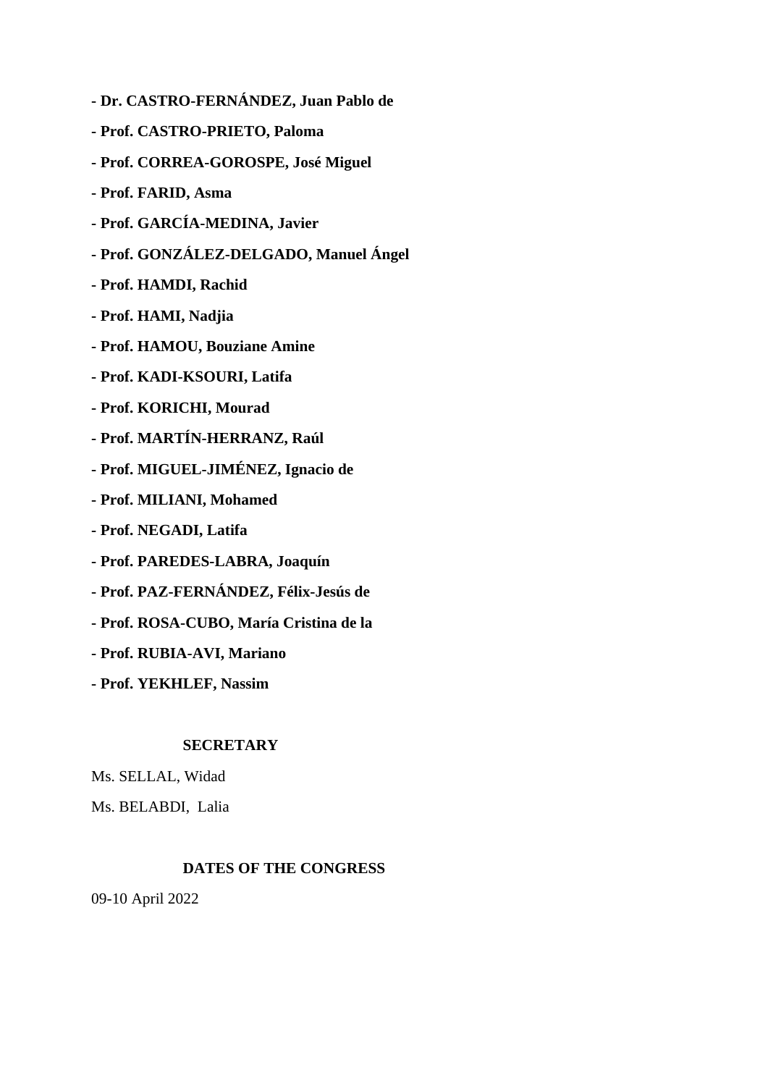- **- Dr. CASTRO-FERNÁNDEZ, Juan Pablo de**
- **- Prof. CASTRO-PRIETO, Paloma**
- **- Prof. CORREA-GOROSPE, José Miguel**
- **- Prof. FARID, Asma**
- **- Prof. GARCÍA-MEDINA, Javier**
- **- Prof. GONZÁLEZ-DELGADO, Manuel Ángel**
- **- Prof. HAMDI, Rachid**
- **- Prof. HAMI, Nadjia**
- **- Prof. HAMOU, Bouziane Amine**
- **- Prof. KADI-KSOURI, Latifa**
- **- Prof. KORICHI, Mourad**
- **- Prof. MARTÍN-HERRANZ, Raúl**
- **- Prof. MIGUEL-JIMÉNEZ, Ignacio de**
- **- Prof. MILIANI, Mohamed**
- **- Prof. NEGADI, Latifa**
- **- Prof. PAREDES-LABRA, Joaquín**
- **- Prof. PAZ-FERNÁNDEZ, Félix-Jesús de**
- **- Prof. ROSA-CUBO, María Cristina de la**
- **- Prof. RUBIA-AVI, Mariano**
- **- Prof. YEKHLEF, Nassim**

# **SECRETARY**

- Ms. SELLAL, Widad
- Ms. BELABDI, Lalia

# **DATES OF THE CONGRESS**

09-10 April 2022